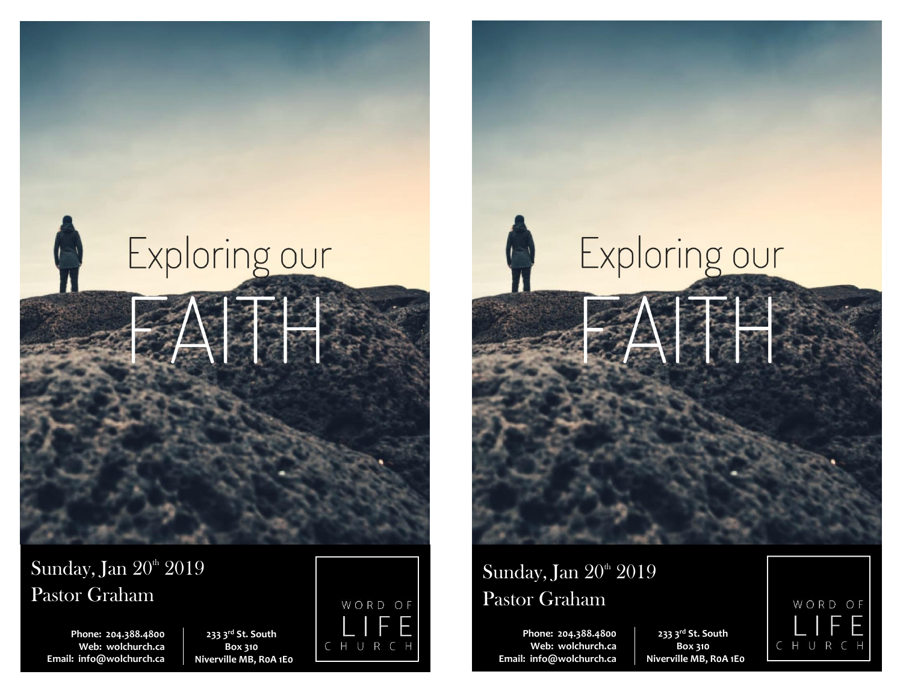



**Phone: 204.388.4800 Web: wolchurch.ca Email: [info@wolchurch.ca](mailto:info@wolchurch.ca)**

**233 3rd St. South Box 310 Niverville MB, R0A 1E0**



# Exploring our

# Sunday, Jan 20<sup>th</sup> 2019 Pastor Graham

**Phone: 204.388.4800 Web: wolchurch.ca Email: [info@wolchurch.ca](mailto:info@wolchurch.ca)**

**233 3rd St. South Box 310 Niverville MB, R0A 1E0**